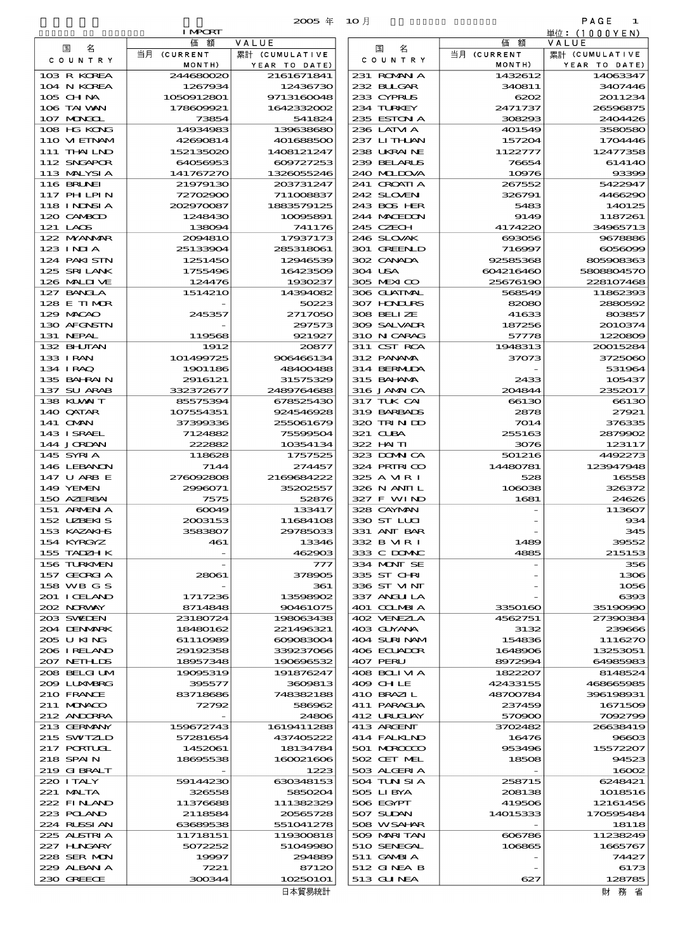| 2005 | 4E. |  |
|------|-----|--|

| <b>I MPCRT</b><br>単位: (1000YEN)<br>VALUE<br>価額<br>価額<br>VALUE<br>名<br>国<br>国<br>名<br>当月 (CURRENT<br>当月 (CURRENT<br>累計 (CUMULATIVE<br>累計 (CUMULATIVE<br>COUNTRY<br>COUNTRY<br>MONTH)<br>MONTH)<br>YEAR TO DATE)<br>YEAR TO DATE)<br>103 R KOREA<br>244680020<br>2161671841<br>231 ROMNA<br>1432612<br>14063347<br>104 N KOREA<br>1267934<br>12436730<br>232 BLLGAR<br>340811<br>3407446<br>105 CHNA<br>1050912801<br>9713160048<br>233 CYPRUS<br>6202<br>2011234<br>106 TAI WAN<br>178609921<br>1642332002<br>234 TURKEY<br>2471737<br>26596875<br>107 MAGOL<br>73854<br>541824<br>235 ESTON A<br>308293<br>2404426<br>108 HG KONG<br>14934983<br>139638680<br>236 LATM A<br>401549<br>3580580<br>110 VIEINAM<br>42690814<br>401688500<br>237 LITHAN<br>157204<br>1704446<br>111 THAILND<br>1408121247<br>238 UKRAINE<br>12477358<br>152135020<br>1122777<br>112 SNGAPOR<br>64056953<br>609727253<br>239 BELARUS<br>76654<br>614140<br>113 MALYSIA<br>141767270<br>1326055246<br>240 MIDOVA<br>93396<br>10976<br><b>116 BRUNEI</b><br>21979130<br>203731247<br>241 CROATIA<br>267552<br>5422947<br>117 PHLPIN<br>72702900<br>711008837<br>242 SLOVEN<br>326791<br>4466290<br>118 I NDNSI A<br>202970087<br>1883579125<br>243 BOS HER<br>5483<br>140125<br>120 CAMBOD<br>1248430<br>10095891<br>244 MACEDON<br>9149<br>1187261<br>245 CZECH<br>121 LAOS<br>138094<br>741176<br>4174220<br>34965713<br>122 MYANMAR<br>2004810<br>17937173<br>246 SLOVAK<br>693056<br>9678886<br>$123$ INIA<br>25133904<br>285318061<br>301 GREENLD<br>716997<br>$\cos \! \cos$<br>124 PAKISTN<br>12946539<br>302 CANADA<br>92585368<br>1251450<br>805908363<br>125 SRILANK<br>1755496<br>16423509<br>304 USA<br>604216460<br>5808804570<br>126 MALII VE<br>124476<br>1930237<br>305 MEXICO<br>25676190<br>22810746<br>127 BANCLA<br>1514210<br>14394082<br>306 GUATMAL<br>568549<br>11862390<br>128 E TIMOR<br>50223<br>307 HONDURS<br>82080<br>2880592<br>129 MACAO<br>2717050<br>308 BELIZE<br>803857<br>245357<br>41633<br>130 AFGNSTN<br>297573<br>309 SALVADR<br>187256<br>2010374<br>131 NEPAL<br>921927<br>310 N CARAG<br>1220809<br>119568<br>57778<br>132 BHUTAN<br>1912<br>20877<br>311 CST RCA<br>1948313<br>20015284<br>133 I RAN<br>101499725<br>906466134<br>312 PANAMA<br>37073<br>3725060<br>1901186<br>48400488<br>314 BERMIDA<br>134 IRAQ<br>531964<br>135 BAHRAIN<br>2916121<br>31575329<br>315 BAHAMA<br>2433<br>105437<br>137 SU ARAB<br>332372677<br>2489764688<br>316 JAMAICA<br>204844<br>2352017<br>138 KUWAIT<br>85575394<br>678525430<br>317 TUK CAI<br>66130<br>66130<br>140 QATAR<br>107554351<br>924546928<br>319 BARBADS<br>2878<br>27921<br>141 OMN<br>255061679<br>320 TRIND<br>7014<br>376335<br>37399336<br>143 ISRAEL<br>7124882<br>75599504<br>321 CLBA<br>255163<br>2879902<br>144 JORDAN<br>222882<br>322 HN TI<br>3076<br>123117<br>10354134<br>145 SYRIA<br>118628<br>323 DOMNICA<br>501216<br>1757525<br>4492273<br>146 LEBANON<br>7144<br>274457<br>324 PRIRICO<br>14480781<br>123947948<br>147 U ARB E<br>276092808<br>2169684222<br>325 A MR I<br>528<br>16558<br>149 YEMEN<br>2996071<br>35202557<br>326 N ANII L<br>106038<br>326372<br>150 AZERBAI<br>7575<br>52876<br>327 F WIND<br>1681<br>24620<br>151 ARMENIA<br>60049<br>133417<br>328 CAYMAN<br>113607<br>152 UBEKIS<br>330 ST LLCI<br>2003153<br>11684108<br>93<<br>153 KAZAKI B<br>3583807<br>29785033<br>331 ANT BAR<br>34£<br>332 B MR I<br>39552<br>154 KYRGYZ<br>461<br>13346<br>1489<br>155 TADZH K<br>333 C DOMAC<br>4885<br>462903<br>215153<br>156 TURKMEN<br>334 MONT SE<br>777<br>356<br>157 GEORGIA<br>335 ST CHRI<br>28061<br>378905<br>1300<br>336 ST MNT<br>158 WB G S<br>361<br>1056<br>201 I CELAND<br>13598902<br>337 ANGLI LA<br>1717236<br>6390<br>202 NORWAY<br>8714848<br>90461075<br>401 COLMBIA<br>3350160<br>35190990<br>203 SWIDEN<br>198063438<br>402 VENEZLA<br>23180724<br>4562751<br>27390384<br>204 DENMARK<br>18480162<br>221496321<br>403 GUYANA<br>3132<br>239666<br>205 U KING<br>61110989<br>609083004<br>404 SURINAM<br>154836<br>1116270<br>206 IRELAND<br>339237066<br>406 ECUADOR<br>29192358<br>1648906<br>13253051<br>207 NETHLIS<br>407 PERU<br>18957348<br>190696532<br>8972991<br>6498598<br>208 BELGI UM<br>408 BOLIMA<br>19095319<br>191876247<br>1822207<br>8148524<br>209 LUNABRG<br>409 CHLE<br>395577<br>3609813<br>42433155<br>468665985<br>210 FRANCE<br>83718686<br>748382188<br>410 BRAZIL<br>48700784<br>396198931<br>211 MUNACO<br>411 PARAGUA<br>72792<br>586962<br>237459<br>1671509<br>24806<br>212 ANDORRA<br>412 URUJAY<br>570900<br>7092799<br>1619411288<br>213 GERMANY<br>159672743<br>413 ARGENT<br>3702482<br>26638419<br>215 SWIZLD<br>57281654<br>437405222<br>414 FALKLND<br>16476<br>96600<br>217 PORTUGL<br>1452061<br>18134784<br>501 MROCCO<br>953496<br>15572207<br>218 SPAIN<br>160021606<br>502 CET MEL<br>94523<br>18695538<br>18508<br>219 GIBRALT<br>1223<br>503 ALGERIA<br>16000<br>220 I TALY<br>630348153<br>504 TUN SI A<br>59144230<br>258715<br>6248421<br>505 LIBYA<br>221 MALTA<br>326558<br>5850204<br>208138<br>1018516<br>222 FINAND<br>111382329<br>506 EGYPT<br>419506<br>11376688<br>12161456<br>223 POLAND<br>20565728<br>507 SUDAN<br>14015333<br>2118584<br>170595484<br>224 RUSSI AN<br>63689538<br>551041278<br>508 WSAHAR<br>18118<br>225 ALSTRIA<br>11238249<br>11718151<br>119300818<br>509 MARITAN<br>606786<br>227 HNGARY<br>5072252<br>51049980<br>510 SENEGAL<br>1665767<br>106865<br>228 SER MON<br>294889<br>511 GAMBIA<br>74427<br>19997<br>229 ALBAN A<br>512 GINEA B<br>7221<br>87120<br>6173<br>230 GREECE<br>10250101<br>300344<br>513 GUNEA<br>627<br>128785<br>日本貿易統計<br>財 務 省 |  | $2005$ $#$ | $10$ 月 | PAGE<br>1 |
|---------------------------------------------------------------------------------------------------------------------------------------------------------------------------------------------------------------------------------------------------------------------------------------------------------------------------------------------------------------------------------------------------------------------------------------------------------------------------------------------------------------------------------------------------------------------------------------------------------------------------------------------------------------------------------------------------------------------------------------------------------------------------------------------------------------------------------------------------------------------------------------------------------------------------------------------------------------------------------------------------------------------------------------------------------------------------------------------------------------------------------------------------------------------------------------------------------------------------------------------------------------------------------------------------------------------------------------------------------------------------------------------------------------------------------------------------------------------------------------------------------------------------------------------------------------------------------------------------------------------------------------------------------------------------------------------------------------------------------------------------------------------------------------------------------------------------------------------------------------------------------------------------------------------------------------------------------------------------------------------------------------------------------------------------------------------------------------------------------------------------------------------------------------------------------------------------------------------------------------------------------------------------------------------------------------------------------------------------------------------------------------------------------------------------------------------------------------------------------------------------------------------------------------------------------------------------------------------------------------------------------------------------------------------------------------------------------------------------------------------------------------------------------------------------------------------------------------------------------------------------------------------------------------------------------------------------------------------------------------------------------------------------------------------------------------------------------------------------------------------------------------------------------------------------------------------------------------------------------------------------------------------------------------------------------------------------------------------------------------------------------------------------------------------------------------------------------------------------------------------------------------------------------------------------------------------------------------------------------------------------------------------------------------------------------------------------------------------------------------------------------------------------------------------------------------------------------------------------------------------------------------------------------------------------------------------------------------------------------------------------------------------------------------------------------------------------------------------------------------------------------------------------------------------------------------------------------------------------------------------------------------------------------------------------------------------------------------------------------------------------------------------------------------------------------------------------------------------------------------------------------------------------------------------------------------------------------------------------------------------------------------------------------------------------------------------------------------------------------------------------------------------------------------------------------------------------------------------------------------------------------------------------------------------------------------------------------------------------------------------------------------------------------------------------------------------------------------------------------------------------------------------------------------------------------------------------------------------------------------------------------------------------------------------------------------------------------------------------------------------------------------------------------------------------------------------------------------------------------------------------------------------------------------------------------------------------------------------------------------------------------------------------------------------------------------|--|------------|--------|-----------|
|                                                                                                                                                                                                                                                                                                                                                                                                                                                                                                                                                                                                                                                                                                                                                                                                                                                                                                                                                                                                                                                                                                                                                                                                                                                                                                                                                                                                                                                                                                                                                                                                                                                                                                                                                                                                                                                                                                                                                                                                                                                                                                                                                                                                                                                                                                                                                                                                                                                                                                                                                                                                                                                                                                                                                                                                                                                                                                                                                                                                                                                                                                                                                                                                                                                                                                                                                                                                                                                                                                                                                                                                                                                                                                                                                                                                                                                                                                                                                                                                                                                                                                                                                                                                                                                                                                                                                                                                                                                                                                                                                                                                                                                                                                                                                                                                                                                                                                                                                                                                                                                                                                                                                                                                                                                                                                                                                                                                                                                                                                                                                                                                                                                                                       |  |            |        |           |
|                                                                                                                                                                                                                                                                                                                                                                                                                                                                                                                                                                                                                                                                                                                                                                                                                                                                                                                                                                                                                                                                                                                                                                                                                                                                                                                                                                                                                                                                                                                                                                                                                                                                                                                                                                                                                                                                                                                                                                                                                                                                                                                                                                                                                                                                                                                                                                                                                                                                                                                                                                                                                                                                                                                                                                                                                                                                                                                                                                                                                                                                                                                                                                                                                                                                                                                                                                                                                                                                                                                                                                                                                                                                                                                                                                                                                                                                                                                                                                                                                                                                                                                                                                                                                                                                                                                                                                                                                                                                                                                                                                                                                                                                                                                                                                                                                                                                                                                                                                                                                                                                                                                                                                                                                                                                                                                                                                                                                                                                                                                                                                                                                                                                                       |  |            |        |           |
|                                                                                                                                                                                                                                                                                                                                                                                                                                                                                                                                                                                                                                                                                                                                                                                                                                                                                                                                                                                                                                                                                                                                                                                                                                                                                                                                                                                                                                                                                                                                                                                                                                                                                                                                                                                                                                                                                                                                                                                                                                                                                                                                                                                                                                                                                                                                                                                                                                                                                                                                                                                                                                                                                                                                                                                                                                                                                                                                                                                                                                                                                                                                                                                                                                                                                                                                                                                                                                                                                                                                                                                                                                                                                                                                                                                                                                                                                                                                                                                                                                                                                                                                                                                                                                                                                                                                                                                                                                                                                                                                                                                                                                                                                                                                                                                                                                                                                                                                                                                                                                                                                                                                                                                                                                                                                                                                                                                                                                                                                                                                                                                                                                                                                       |  |            |        |           |
|                                                                                                                                                                                                                                                                                                                                                                                                                                                                                                                                                                                                                                                                                                                                                                                                                                                                                                                                                                                                                                                                                                                                                                                                                                                                                                                                                                                                                                                                                                                                                                                                                                                                                                                                                                                                                                                                                                                                                                                                                                                                                                                                                                                                                                                                                                                                                                                                                                                                                                                                                                                                                                                                                                                                                                                                                                                                                                                                                                                                                                                                                                                                                                                                                                                                                                                                                                                                                                                                                                                                                                                                                                                                                                                                                                                                                                                                                                                                                                                                                                                                                                                                                                                                                                                                                                                                                                                                                                                                                                                                                                                                                                                                                                                                                                                                                                                                                                                                                                                                                                                                                                                                                                                                                                                                                                                                                                                                                                                                                                                                                                                                                                                                                       |  |            |        |           |
|                                                                                                                                                                                                                                                                                                                                                                                                                                                                                                                                                                                                                                                                                                                                                                                                                                                                                                                                                                                                                                                                                                                                                                                                                                                                                                                                                                                                                                                                                                                                                                                                                                                                                                                                                                                                                                                                                                                                                                                                                                                                                                                                                                                                                                                                                                                                                                                                                                                                                                                                                                                                                                                                                                                                                                                                                                                                                                                                                                                                                                                                                                                                                                                                                                                                                                                                                                                                                                                                                                                                                                                                                                                                                                                                                                                                                                                                                                                                                                                                                                                                                                                                                                                                                                                                                                                                                                                                                                                                                                                                                                                                                                                                                                                                                                                                                                                                                                                                                                                                                                                                                                                                                                                                                                                                                                                                                                                                                                                                                                                                                                                                                                                                                       |  |            |        |           |
|                                                                                                                                                                                                                                                                                                                                                                                                                                                                                                                                                                                                                                                                                                                                                                                                                                                                                                                                                                                                                                                                                                                                                                                                                                                                                                                                                                                                                                                                                                                                                                                                                                                                                                                                                                                                                                                                                                                                                                                                                                                                                                                                                                                                                                                                                                                                                                                                                                                                                                                                                                                                                                                                                                                                                                                                                                                                                                                                                                                                                                                                                                                                                                                                                                                                                                                                                                                                                                                                                                                                                                                                                                                                                                                                                                                                                                                                                                                                                                                                                                                                                                                                                                                                                                                                                                                                                                                                                                                                                                                                                                                                                                                                                                                                                                                                                                                                                                                                                                                                                                                                                                                                                                                                                                                                                                                                                                                                                                                                                                                                                                                                                                                                                       |  |            |        |           |
|                                                                                                                                                                                                                                                                                                                                                                                                                                                                                                                                                                                                                                                                                                                                                                                                                                                                                                                                                                                                                                                                                                                                                                                                                                                                                                                                                                                                                                                                                                                                                                                                                                                                                                                                                                                                                                                                                                                                                                                                                                                                                                                                                                                                                                                                                                                                                                                                                                                                                                                                                                                                                                                                                                                                                                                                                                                                                                                                                                                                                                                                                                                                                                                                                                                                                                                                                                                                                                                                                                                                                                                                                                                                                                                                                                                                                                                                                                                                                                                                                                                                                                                                                                                                                                                                                                                                                                                                                                                                                                                                                                                                                                                                                                                                                                                                                                                                                                                                                                                                                                                                                                                                                                                                                                                                                                                                                                                                                                                                                                                                                                                                                                                                                       |  |            |        |           |
|                                                                                                                                                                                                                                                                                                                                                                                                                                                                                                                                                                                                                                                                                                                                                                                                                                                                                                                                                                                                                                                                                                                                                                                                                                                                                                                                                                                                                                                                                                                                                                                                                                                                                                                                                                                                                                                                                                                                                                                                                                                                                                                                                                                                                                                                                                                                                                                                                                                                                                                                                                                                                                                                                                                                                                                                                                                                                                                                                                                                                                                                                                                                                                                                                                                                                                                                                                                                                                                                                                                                                                                                                                                                                                                                                                                                                                                                                                                                                                                                                                                                                                                                                                                                                                                                                                                                                                                                                                                                                                                                                                                                                                                                                                                                                                                                                                                                                                                                                                                                                                                                                                                                                                                                                                                                                                                                                                                                                                                                                                                                                                                                                                                                                       |  |            |        |           |
|                                                                                                                                                                                                                                                                                                                                                                                                                                                                                                                                                                                                                                                                                                                                                                                                                                                                                                                                                                                                                                                                                                                                                                                                                                                                                                                                                                                                                                                                                                                                                                                                                                                                                                                                                                                                                                                                                                                                                                                                                                                                                                                                                                                                                                                                                                                                                                                                                                                                                                                                                                                                                                                                                                                                                                                                                                                                                                                                                                                                                                                                                                                                                                                                                                                                                                                                                                                                                                                                                                                                                                                                                                                                                                                                                                                                                                                                                                                                                                                                                                                                                                                                                                                                                                                                                                                                                                                                                                                                                                                                                                                                                                                                                                                                                                                                                                                                                                                                                                                                                                                                                                                                                                                                                                                                                                                                                                                                                                                                                                                                                                                                                                                                                       |  |            |        |           |
|                                                                                                                                                                                                                                                                                                                                                                                                                                                                                                                                                                                                                                                                                                                                                                                                                                                                                                                                                                                                                                                                                                                                                                                                                                                                                                                                                                                                                                                                                                                                                                                                                                                                                                                                                                                                                                                                                                                                                                                                                                                                                                                                                                                                                                                                                                                                                                                                                                                                                                                                                                                                                                                                                                                                                                                                                                                                                                                                                                                                                                                                                                                                                                                                                                                                                                                                                                                                                                                                                                                                                                                                                                                                                                                                                                                                                                                                                                                                                                                                                                                                                                                                                                                                                                                                                                                                                                                                                                                                                                                                                                                                                                                                                                                                                                                                                                                                                                                                                                                                                                                                                                                                                                                                                                                                                                                                                                                                                                                                                                                                                                                                                                                                                       |  |            |        |           |
|                                                                                                                                                                                                                                                                                                                                                                                                                                                                                                                                                                                                                                                                                                                                                                                                                                                                                                                                                                                                                                                                                                                                                                                                                                                                                                                                                                                                                                                                                                                                                                                                                                                                                                                                                                                                                                                                                                                                                                                                                                                                                                                                                                                                                                                                                                                                                                                                                                                                                                                                                                                                                                                                                                                                                                                                                                                                                                                                                                                                                                                                                                                                                                                                                                                                                                                                                                                                                                                                                                                                                                                                                                                                                                                                                                                                                                                                                                                                                                                                                                                                                                                                                                                                                                                                                                                                                                                                                                                                                                                                                                                                                                                                                                                                                                                                                                                                                                                                                                                                                                                                                                                                                                                                                                                                                                                                                                                                                                                                                                                                                                                                                                                                                       |  |            |        |           |
|                                                                                                                                                                                                                                                                                                                                                                                                                                                                                                                                                                                                                                                                                                                                                                                                                                                                                                                                                                                                                                                                                                                                                                                                                                                                                                                                                                                                                                                                                                                                                                                                                                                                                                                                                                                                                                                                                                                                                                                                                                                                                                                                                                                                                                                                                                                                                                                                                                                                                                                                                                                                                                                                                                                                                                                                                                                                                                                                                                                                                                                                                                                                                                                                                                                                                                                                                                                                                                                                                                                                                                                                                                                                                                                                                                                                                                                                                                                                                                                                                                                                                                                                                                                                                                                                                                                                                                                                                                                                                                                                                                                                                                                                                                                                                                                                                                                                                                                                                                                                                                                                                                                                                                                                                                                                                                                                                                                                                                                                                                                                                                                                                                                                                       |  |            |        |           |
|                                                                                                                                                                                                                                                                                                                                                                                                                                                                                                                                                                                                                                                                                                                                                                                                                                                                                                                                                                                                                                                                                                                                                                                                                                                                                                                                                                                                                                                                                                                                                                                                                                                                                                                                                                                                                                                                                                                                                                                                                                                                                                                                                                                                                                                                                                                                                                                                                                                                                                                                                                                                                                                                                                                                                                                                                                                                                                                                                                                                                                                                                                                                                                                                                                                                                                                                                                                                                                                                                                                                                                                                                                                                                                                                                                                                                                                                                                                                                                                                                                                                                                                                                                                                                                                                                                                                                                                                                                                                                                                                                                                                                                                                                                                                                                                                                                                                                                                                                                                                                                                                                                                                                                                                                                                                                                                                                                                                                                                                                                                                                                                                                                                                                       |  |            |        |           |
|                                                                                                                                                                                                                                                                                                                                                                                                                                                                                                                                                                                                                                                                                                                                                                                                                                                                                                                                                                                                                                                                                                                                                                                                                                                                                                                                                                                                                                                                                                                                                                                                                                                                                                                                                                                                                                                                                                                                                                                                                                                                                                                                                                                                                                                                                                                                                                                                                                                                                                                                                                                                                                                                                                                                                                                                                                                                                                                                                                                                                                                                                                                                                                                                                                                                                                                                                                                                                                                                                                                                                                                                                                                                                                                                                                                                                                                                                                                                                                                                                                                                                                                                                                                                                                                                                                                                                                                                                                                                                                                                                                                                                                                                                                                                                                                                                                                                                                                                                                                                                                                                                                                                                                                                                                                                                                                                                                                                                                                                                                                                                                                                                                                                                       |  |            |        |           |
|                                                                                                                                                                                                                                                                                                                                                                                                                                                                                                                                                                                                                                                                                                                                                                                                                                                                                                                                                                                                                                                                                                                                                                                                                                                                                                                                                                                                                                                                                                                                                                                                                                                                                                                                                                                                                                                                                                                                                                                                                                                                                                                                                                                                                                                                                                                                                                                                                                                                                                                                                                                                                                                                                                                                                                                                                                                                                                                                                                                                                                                                                                                                                                                                                                                                                                                                                                                                                                                                                                                                                                                                                                                                                                                                                                                                                                                                                                                                                                                                                                                                                                                                                                                                                                                                                                                                                                                                                                                                                                                                                                                                                                                                                                                                                                                                                                                                                                                                                                                                                                                                                                                                                                                                                                                                                                                                                                                                                                                                                                                                                                                                                                                                                       |  |            |        |           |
|                                                                                                                                                                                                                                                                                                                                                                                                                                                                                                                                                                                                                                                                                                                                                                                                                                                                                                                                                                                                                                                                                                                                                                                                                                                                                                                                                                                                                                                                                                                                                                                                                                                                                                                                                                                                                                                                                                                                                                                                                                                                                                                                                                                                                                                                                                                                                                                                                                                                                                                                                                                                                                                                                                                                                                                                                                                                                                                                                                                                                                                                                                                                                                                                                                                                                                                                                                                                                                                                                                                                                                                                                                                                                                                                                                                                                                                                                                                                                                                                                                                                                                                                                                                                                                                                                                                                                                                                                                                                                                                                                                                                                                                                                                                                                                                                                                                                                                                                                                                                                                                                                                                                                                                                                                                                                                                                                                                                                                                                                                                                                                                                                                                                                       |  |            |        |           |
|                                                                                                                                                                                                                                                                                                                                                                                                                                                                                                                                                                                                                                                                                                                                                                                                                                                                                                                                                                                                                                                                                                                                                                                                                                                                                                                                                                                                                                                                                                                                                                                                                                                                                                                                                                                                                                                                                                                                                                                                                                                                                                                                                                                                                                                                                                                                                                                                                                                                                                                                                                                                                                                                                                                                                                                                                                                                                                                                                                                                                                                                                                                                                                                                                                                                                                                                                                                                                                                                                                                                                                                                                                                                                                                                                                                                                                                                                                                                                                                                                                                                                                                                                                                                                                                                                                                                                                                                                                                                                                                                                                                                                                                                                                                                                                                                                                                                                                                                                                                                                                                                                                                                                                                                                                                                                                                                                                                                                                                                                                                                                                                                                                                                                       |  |            |        |           |
|                                                                                                                                                                                                                                                                                                                                                                                                                                                                                                                                                                                                                                                                                                                                                                                                                                                                                                                                                                                                                                                                                                                                                                                                                                                                                                                                                                                                                                                                                                                                                                                                                                                                                                                                                                                                                                                                                                                                                                                                                                                                                                                                                                                                                                                                                                                                                                                                                                                                                                                                                                                                                                                                                                                                                                                                                                                                                                                                                                                                                                                                                                                                                                                                                                                                                                                                                                                                                                                                                                                                                                                                                                                                                                                                                                                                                                                                                                                                                                                                                                                                                                                                                                                                                                                                                                                                                                                                                                                                                                                                                                                                                                                                                                                                                                                                                                                                                                                                                                                                                                                                                                                                                                                                                                                                                                                                                                                                                                                                                                                                                                                                                                                                                       |  |            |        |           |
|                                                                                                                                                                                                                                                                                                                                                                                                                                                                                                                                                                                                                                                                                                                                                                                                                                                                                                                                                                                                                                                                                                                                                                                                                                                                                                                                                                                                                                                                                                                                                                                                                                                                                                                                                                                                                                                                                                                                                                                                                                                                                                                                                                                                                                                                                                                                                                                                                                                                                                                                                                                                                                                                                                                                                                                                                                                                                                                                                                                                                                                                                                                                                                                                                                                                                                                                                                                                                                                                                                                                                                                                                                                                                                                                                                                                                                                                                                                                                                                                                                                                                                                                                                                                                                                                                                                                                                                                                                                                                                                                                                                                                                                                                                                                                                                                                                                                                                                                                                                                                                                                                                                                                                                                                                                                                                                                                                                                                                                                                                                                                                                                                                                                                       |  |            |        |           |
|                                                                                                                                                                                                                                                                                                                                                                                                                                                                                                                                                                                                                                                                                                                                                                                                                                                                                                                                                                                                                                                                                                                                                                                                                                                                                                                                                                                                                                                                                                                                                                                                                                                                                                                                                                                                                                                                                                                                                                                                                                                                                                                                                                                                                                                                                                                                                                                                                                                                                                                                                                                                                                                                                                                                                                                                                                                                                                                                                                                                                                                                                                                                                                                                                                                                                                                                                                                                                                                                                                                                                                                                                                                                                                                                                                                                                                                                                                                                                                                                                                                                                                                                                                                                                                                                                                                                                                                                                                                                                                                                                                                                                                                                                                                                                                                                                                                                                                                                                                                                                                                                                                                                                                                                                                                                                                                                                                                                                                                                                                                                                                                                                                                                                       |  |            |        |           |
|                                                                                                                                                                                                                                                                                                                                                                                                                                                                                                                                                                                                                                                                                                                                                                                                                                                                                                                                                                                                                                                                                                                                                                                                                                                                                                                                                                                                                                                                                                                                                                                                                                                                                                                                                                                                                                                                                                                                                                                                                                                                                                                                                                                                                                                                                                                                                                                                                                                                                                                                                                                                                                                                                                                                                                                                                                                                                                                                                                                                                                                                                                                                                                                                                                                                                                                                                                                                                                                                                                                                                                                                                                                                                                                                                                                                                                                                                                                                                                                                                                                                                                                                                                                                                                                                                                                                                                                                                                                                                                                                                                                                                                                                                                                                                                                                                                                                                                                                                                                                                                                                                                                                                                                                                                                                                                                                                                                                                                                                                                                                                                                                                                                                                       |  |            |        |           |
|                                                                                                                                                                                                                                                                                                                                                                                                                                                                                                                                                                                                                                                                                                                                                                                                                                                                                                                                                                                                                                                                                                                                                                                                                                                                                                                                                                                                                                                                                                                                                                                                                                                                                                                                                                                                                                                                                                                                                                                                                                                                                                                                                                                                                                                                                                                                                                                                                                                                                                                                                                                                                                                                                                                                                                                                                                                                                                                                                                                                                                                                                                                                                                                                                                                                                                                                                                                                                                                                                                                                                                                                                                                                                                                                                                                                                                                                                                                                                                                                                                                                                                                                                                                                                                                                                                                                                                                                                                                                                                                                                                                                                                                                                                                                                                                                                                                                                                                                                                                                                                                                                                                                                                                                                                                                                                                                                                                                                                                                                                                                                                                                                                                                                       |  |            |        |           |
|                                                                                                                                                                                                                                                                                                                                                                                                                                                                                                                                                                                                                                                                                                                                                                                                                                                                                                                                                                                                                                                                                                                                                                                                                                                                                                                                                                                                                                                                                                                                                                                                                                                                                                                                                                                                                                                                                                                                                                                                                                                                                                                                                                                                                                                                                                                                                                                                                                                                                                                                                                                                                                                                                                                                                                                                                                                                                                                                                                                                                                                                                                                                                                                                                                                                                                                                                                                                                                                                                                                                                                                                                                                                                                                                                                                                                                                                                                                                                                                                                                                                                                                                                                                                                                                                                                                                                                                                                                                                                                                                                                                                                                                                                                                                                                                                                                                                                                                                                                                                                                                                                                                                                                                                                                                                                                                                                                                                                                                                                                                                                                                                                                                                                       |  |            |        |           |
|                                                                                                                                                                                                                                                                                                                                                                                                                                                                                                                                                                                                                                                                                                                                                                                                                                                                                                                                                                                                                                                                                                                                                                                                                                                                                                                                                                                                                                                                                                                                                                                                                                                                                                                                                                                                                                                                                                                                                                                                                                                                                                                                                                                                                                                                                                                                                                                                                                                                                                                                                                                                                                                                                                                                                                                                                                                                                                                                                                                                                                                                                                                                                                                                                                                                                                                                                                                                                                                                                                                                                                                                                                                                                                                                                                                                                                                                                                                                                                                                                                                                                                                                                                                                                                                                                                                                                                                                                                                                                                                                                                                                                                                                                                                                                                                                                                                                                                                                                                                                                                                                                                                                                                                                                                                                                                                                                                                                                                                                                                                                                                                                                                                                                       |  |            |        |           |
|                                                                                                                                                                                                                                                                                                                                                                                                                                                                                                                                                                                                                                                                                                                                                                                                                                                                                                                                                                                                                                                                                                                                                                                                                                                                                                                                                                                                                                                                                                                                                                                                                                                                                                                                                                                                                                                                                                                                                                                                                                                                                                                                                                                                                                                                                                                                                                                                                                                                                                                                                                                                                                                                                                                                                                                                                                                                                                                                                                                                                                                                                                                                                                                                                                                                                                                                                                                                                                                                                                                                                                                                                                                                                                                                                                                                                                                                                                                                                                                                                                                                                                                                                                                                                                                                                                                                                                                                                                                                                                                                                                                                                                                                                                                                                                                                                                                                                                                                                                                                                                                                                                                                                                                                                                                                                                                                                                                                                                                                                                                                                                                                                                                                                       |  |            |        |           |
|                                                                                                                                                                                                                                                                                                                                                                                                                                                                                                                                                                                                                                                                                                                                                                                                                                                                                                                                                                                                                                                                                                                                                                                                                                                                                                                                                                                                                                                                                                                                                                                                                                                                                                                                                                                                                                                                                                                                                                                                                                                                                                                                                                                                                                                                                                                                                                                                                                                                                                                                                                                                                                                                                                                                                                                                                                                                                                                                                                                                                                                                                                                                                                                                                                                                                                                                                                                                                                                                                                                                                                                                                                                                                                                                                                                                                                                                                                                                                                                                                                                                                                                                                                                                                                                                                                                                                                                                                                                                                                                                                                                                                                                                                                                                                                                                                                                                                                                                                                                                                                                                                                                                                                                                                                                                                                                                                                                                                                                                                                                                                                                                                                                                                       |  |            |        |           |
|                                                                                                                                                                                                                                                                                                                                                                                                                                                                                                                                                                                                                                                                                                                                                                                                                                                                                                                                                                                                                                                                                                                                                                                                                                                                                                                                                                                                                                                                                                                                                                                                                                                                                                                                                                                                                                                                                                                                                                                                                                                                                                                                                                                                                                                                                                                                                                                                                                                                                                                                                                                                                                                                                                                                                                                                                                                                                                                                                                                                                                                                                                                                                                                                                                                                                                                                                                                                                                                                                                                                                                                                                                                                                                                                                                                                                                                                                                                                                                                                                                                                                                                                                                                                                                                                                                                                                                                                                                                                                                                                                                                                                                                                                                                                                                                                                                                                                                                                                                                                                                                                                                                                                                                                                                                                                                                                                                                                                                                                                                                                                                                                                                                                                       |  |            |        |           |
|                                                                                                                                                                                                                                                                                                                                                                                                                                                                                                                                                                                                                                                                                                                                                                                                                                                                                                                                                                                                                                                                                                                                                                                                                                                                                                                                                                                                                                                                                                                                                                                                                                                                                                                                                                                                                                                                                                                                                                                                                                                                                                                                                                                                                                                                                                                                                                                                                                                                                                                                                                                                                                                                                                                                                                                                                                                                                                                                                                                                                                                                                                                                                                                                                                                                                                                                                                                                                                                                                                                                                                                                                                                                                                                                                                                                                                                                                                                                                                                                                                                                                                                                                                                                                                                                                                                                                                                                                                                                                                                                                                                                                                                                                                                                                                                                                                                                                                                                                                                                                                                                                                                                                                                                                                                                                                                                                                                                                                                                                                                                                                                                                                                                                       |  |            |        |           |
|                                                                                                                                                                                                                                                                                                                                                                                                                                                                                                                                                                                                                                                                                                                                                                                                                                                                                                                                                                                                                                                                                                                                                                                                                                                                                                                                                                                                                                                                                                                                                                                                                                                                                                                                                                                                                                                                                                                                                                                                                                                                                                                                                                                                                                                                                                                                                                                                                                                                                                                                                                                                                                                                                                                                                                                                                                                                                                                                                                                                                                                                                                                                                                                                                                                                                                                                                                                                                                                                                                                                                                                                                                                                                                                                                                                                                                                                                                                                                                                                                                                                                                                                                                                                                                                                                                                                                                                                                                                                                                                                                                                                                                                                                                                                                                                                                                                                                                                                                                                                                                                                                                                                                                                                                                                                                                                                                                                                                                                                                                                                                                                                                                                                                       |  |            |        |           |
|                                                                                                                                                                                                                                                                                                                                                                                                                                                                                                                                                                                                                                                                                                                                                                                                                                                                                                                                                                                                                                                                                                                                                                                                                                                                                                                                                                                                                                                                                                                                                                                                                                                                                                                                                                                                                                                                                                                                                                                                                                                                                                                                                                                                                                                                                                                                                                                                                                                                                                                                                                                                                                                                                                                                                                                                                                                                                                                                                                                                                                                                                                                                                                                                                                                                                                                                                                                                                                                                                                                                                                                                                                                                                                                                                                                                                                                                                                                                                                                                                                                                                                                                                                                                                                                                                                                                                                                                                                                                                                                                                                                                                                                                                                                                                                                                                                                                                                                                                                                                                                                                                                                                                                                                                                                                                                                                                                                                                                                                                                                                                                                                                                                                                       |  |            |        |           |
|                                                                                                                                                                                                                                                                                                                                                                                                                                                                                                                                                                                                                                                                                                                                                                                                                                                                                                                                                                                                                                                                                                                                                                                                                                                                                                                                                                                                                                                                                                                                                                                                                                                                                                                                                                                                                                                                                                                                                                                                                                                                                                                                                                                                                                                                                                                                                                                                                                                                                                                                                                                                                                                                                                                                                                                                                                                                                                                                                                                                                                                                                                                                                                                                                                                                                                                                                                                                                                                                                                                                                                                                                                                                                                                                                                                                                                                                                                                                                                                                                                                                                                                                                                                                                                                                                                                                                                                                                                                                                                                                                                                                                                                                                                                                                                                                                                                                                                                                                                                                                                                                                                                                                                                                                                                                                                                                                                                                                                                                                                                                                                                                                                                                                       |  |            |        |           |
|                                                                                                                                                                                                                                                                                                                                                                                                                                                                                                                                                                                                                                                                                                                                                                                                                                                                                                                                                                                                                                                                                                                                                                                                                                                                                                                                                                                                                                                                                                                                                                                                                                                                                                                                                                                                                                                                                                                                                                                                                                                                                                                                                                                                                                                                                                                                                                                                                                                                                                                                                                                                                                                                                                                                                                                                                                                                                                                                                                                                                                                                                                                                                                                                                                                                                                                                                                                                                                                                                                                                                                                                                                                                                                                                                                                                                                                                                                                                                                                                                                                                                                                                                                                                                                                                                                                                                                                                                                                                                                                                                                                                                                                                                                                                                                                                                                                                                                                                                                                                                                                                                                                                                                                                                                                                                                                                                                                                                                                                                                                                                                                                                                                                                       |  |            |        |           |
|                                                                                                                                                                                                                                                                                                                                                                                                                                                                                                                                                                                                                                                                                                                                                                                                                                                                                                                                                                                                                                                                                                                                                                                                                                                                                                                                                                                                                                                                                                                                                                                                                                                                                                                                                                                                                                                                                                                                                                                                                                                                                                                                                                                                                                                                                                                                                                                                                                                                                                                                                                                                                                                                                                                                                                                                                                                                                                                                                                                                                                                                                                                                                                                                                                                                                                                                                                                                                                                                                                                                                                                                                                                                                                                                                                                                                                                                                                                                                                                                                                                                                                                                                                                                                                                                                                                                                                                                                                                                                                                                                                                                                                                                                                                                                                                                                                                                                                                                                                                                                                                                                                                                                                                                                                                                                                                                                                                                                                                                                                                                                                                                                                                                                       |  |            |        |           |
|                                                                                                                                                                                                                                                                                                                                                                                                                                                                                                                                                                                                                                                                                                                                                                                                                                                                                                                                                                                                                                                                                                                                                                                                                                                                                                                                                                                                                                                                                                                                                                                                                                                                                                                                                                                                                                                                                                                                                                                                                                                                                                                                                                                                                                                                                                                                                                                                                                                                                                                                                                                                                                                                                                                                                                                                                                                                                                                                                                                                                                                                                                                                                                                                                                                                                                                                                                                                                                                                                                                                                                                                                                                                                                                                                                                                                                                                                                                                                                                                                                                                                                                                                                                                                                                                                                                                                                                                                                                                                                                                                                                                                                                                                                                                                                                                                                                                                                                                                                                                                                                                                                                                                                                                                                                                                                                                                                                                                                                                                                                                                                                                                                                                                       |  |            |        |           |
|                                                                                                                                                                                                                                                                                                                                                                                                                                                                                                                                                                                                                                                                                                                                                                                                                                                                                                                                                                                                                                                                                                                                                                                                                                                                                                                                                                                                                                                                                                                                                                                                                                                                                                                                                                                                                                                                                                                                                                                                                                                                                                                                                                                                                                                                                                                                                                                                                                                                                                                                                                                                                                                                                                                                                                                                                                                                                                                                                                                                                                                                                                                                                                                                                                                                                                                                                                                                                                                                                                                                                                                                                                                                                                                                                                                                                                                                                                                                                                                                                                                                                                                                                                                                                                                                                                                                                                                                                                                                                                                                                                                                                                                                                                                                                                                                                                                                                                                                                                                                                                                                                                                                                                                                                                                                                                                                                                                                                                                                                                                                                                                                                                                                                       |  |            |        |           |
|                                                                                                                                                                                                                                                                                                                                                                                                                                                                                                                                                                                                                                                                                                                                                                                                                                                                                                                                                                                                                                                                                                                                                                                                                                                                                                                                                                                                                                                                                                                                                                                                                                                                                                                                                                                                                                                                                                                                                                                                                                                                                                                                                                                                                                                                                                                                                                                                                                                                                                                                                                                                                                                                                                                                                                                                                                                                                                                                                                                                                                                                                                                                                                                                                                                                                                                                                                                                                                                                                                                                                                                                                                                                                                                                                                                                                                                                                                                                                                                                                                                                                                                                                                                                                                                                                                                                                                                                                                                                                                                                                                                                                                                                                                                                                                                                                                                                                                                                                                                                                                                                                                                                                                                                                                                                                                                                                                                                                                                                                                                                                                                                                                                                                       |  |            |        |           |
|                                                                                                                                                                                                                                                                                                                                                                                                                                                                                                                                                                                                                                                                                                                                                                                                                                                                                                                                                                                                                                                                                                                                                                                                                                                                                                                                                                                                                                                                                                                                                                                                                                                                                                                                                                                                                                                                                                                                                                                                                                                                                                                                                                                                                                                                                                                                                                                                                                                                                                                                                                                                                                                                                                                                                                                                                                                                                                                                                                                                                                                                                                                                                                                                                                                                                                                                                                                                                                                                                                                                                                                                                                                                                                                                                                                                                                                                                                                                                                                                                                                                                                                                                                                                                                                                                                                                                                                                                                                                                                                                                                                                                                                                                                                                                                                                                                                                                                                                                                                                                                                                                                                                                                                                                                                                                                                                                                                                                                                                                                                                                                                                                                                                                       |  |            |        |           |
|                                                                                                                                                                                                                                                                                                                                                                                                                                                                                                                                                                                                                                                                                                                                                                                                                                                                                                                                                                                                                                                                                                                                                                                                                                                                                                                                                                                                                                                                                                                                                                                                                                                                                                                                                                                                                                                                                                                                                                                                                                                                                                                                                                                                                                                                                                                                                                                                                                                                                                                                                                                                                                                                                                                                                                                                                                                                                                                                                                                                                                                                                                                                                                                                                                                                                                                                                                                                                                                                                                                                                                                                                                                                                                                                                                                                                                                                                                                                                                                                                                                                                                                                                                                                                                                                                                                                                                                                                                                                                                                                                                                                                                                                                                                                                                                                                                                                                                                                                                                                                                                                                                                                                                                                                                                                                                                                                                                                                                                                                                                                                                                                                                                                                       |  |            |        |           |
|                                                                                                                                                                                                                                                                                                                                                                                                                                                                                                                                                                                                                                                                                                                                                                                                                                                                                                                                                                                                                                                                                                                                                                                                                                                                                                                                                                                                                                                                                                                                                                                                                                                                                                                                                                                                                                                                                                                                                                                                                                                                                                                                                                                                                                                                                                                                                                                                                                                                                                                                                                                                                                                                                                                                                                                                                                                                                                                                                                                                                                                                                                                                                                                                                                                                                                                                                                                                                                                                                                                                                                                                                                                                                                                                                                                                                                                                                                                                                                                                                                                                                                                                                                                                                                                                                                                                                                                                                                                                                                                                                                                                                                                                                                                                                                                                                                                                                                                                                                                                                                                                                                                                                                                                                                                                                                                                                                                                                                                                                                                                                                                                                                                                                       |  |            |        |           |
|                                                                                                                                                                                                                                                                                                                                                                                                                                                                                                                                                                                                                                                                                                                                                                                                                                                                                                                                                                                                                                                                                                                                                                                                                                                                                                                                                                                                                                                                                                                                                                                                                                                                                                                                                                                                                                                                                                                                                                                                                                                                                                                                                                                                                                                                                                                                                                                                                                                                                                                                                                                                                                                                                                                                                                                                                                                                                                                                                                                                                                                                                                                                                                                                                                                                                                                                                                                                                                                                                                                                                                                                                                                                                                                                                                                                                                                                                                                                                                                                                                                                                                                                                                                                                                                                                                                                                                                                                                                                                                                                                                                                                                                                                                                                                                                                                                                                                                                                                                                                                                                                                                                                                                                                                                                                                                                                                                                                                                                                                                                                                                                                                                                                                       |  |            |        |           |
|                                                                                                                                                                                                                                                                                                                                                                                                                                                                                                                                                                                                                                                                                                                                                                                                                                                                                                                                                                                                                                                                                                                                                                                                                                                                                                                                                                                                                                                                                                                                                                                                                                                                                                                                                                                                                                                                                                                                                                                                                                                                                                                                                                                                                                                                                                                                                                                                                                                                                                                                                                                                                                                                                                                                                                                                                                                                                                                                                                                                                                                                                                                                                                                                                                                                                                                                                                                                                                                                                                                                                                                                                                                                                                                                                                                                                                                                                                                                                                                                                                                                                                                                                                                                                                                                                                                                                                                                                                                                                                                                                                                                                                                                                                                                                                                                                                                                                                                                                                                                                                                                                                                                                                                                                                                                                                                                                                                                                                                                                                                                                                                                                                                                                       |  |            |        |           |
|                                                                                                                                                                                                                                                                                                                                                                                                                                                                                                                                                                                                                                                                                                                                                                                                                                                                                                                                                                                                                                                                                                                                                                                                                                                                                                                                                                                                                                                                                                                                                                                                                                                                                                                                                                                                                                                                                                                                                                                                                                                                                                                                                                                                                                                                                                                                                                                                                                                                                                                                                                                                                                                                                                                                                                                                                                                                                                                                                                                                                                                                                                                                                                                                                                                                                                                                                                                                                                                                                                                                                                                                                                                                                                                                                                                                                                                                                                                                                                                                                                                                                                                                                                                                                                                                                                                                                                                                                                                                                                                                                                                                                                                                                                                                                                                                                                                                                                                                                                                                                                                                                                                                                                                                                                                                                                                                                                                                                                                                                                                                                                                                                                                                                       |  |            |        |           |
|                                                                                                                                                                                                                                                                                                                                                                                                                                                                                                                                                                                                                                                                                                                                                                                                                                                                                                                                                                                                                                                                                                                                                                                                                                                                                                                                                                                                                                                                                                                                                                                                                                                                                                                                                                                                                                                                                                                                                                                                                                                                                                                                                                                                                                                                                                                                                                                                                                                                                                                                                                                                                                                                                                                                                                                                                                                                                                                                                                                                                                                                                                                                                                                                                                                                                                                                                                                                                                                                                                                                                                                                                                                                                                                                                                                                                                                                                                                                                                                                                                                                                                                                                                                                                                                                                                                                                                                                                                                                                                                                                                                                                                                                                                                                                                                                                                                                                                                                                                                                                                                                                                                                                                                                                                                                                                                                                                                                                                                                                                                                                                                                                                                                                       |  |            |        |           |
|                                                                                                                                                                                                                                                                                                                                                                                                                                                                                                                                                                                                                                                                                                                                                                                                                                                                                                                                                                                                                                                                                                                                                                                                                                                                                                                                                                                                                                                                                                                                                                                                                                                                                                                                                                                                                                                                                                                                                                                                                                                                                                                                                                                                                                                                                                                                                                                                                                                                                                                                                                                                                                                                                                                                                                                                                                                                                                                                                                                                                                                                                                                                                                                                                                                                                                                                                                                                                                                                                                                                                                                                                                                                                                                                                                                                                                                                                                                                                                                                                                                                                                                                                                                                                                                                                                                                                                                                                                                                                                                                                                                                                                                                                                                                                                                                                                                                                                                                                                                                                                                                                                                                                                                                                                                                                                                                                                                                                                                                                                                                                                                                                                                                                       |  |            |        |           |
|                                                                                                                                                                                                                                                                                                                                                                                                                                                                                                                                                                                                                                                                                                                                                                                                                                                                                                                                                                                                                                                                                                                                                                                                                                                                                                                                                                                                                                                                                                                                                                                                                                                                                                                                                                                                                                                                                                                                                                                                                                                                                                                                                                                                                                                                                                                                                                                                                                                                                                                                                                                                                                                                                                                                                                                                                                                                                                                                                                                                                                                                                                                                                                                                                                                                                                                                                                                                                                                                                                                                                                                                                                                                                                                                                                                                                                                                                                                                                                                                                                                                                                                                                                                                                                                                                                                                                                                                                                                                                                                                                                                                                                                                                                                                                                                                                                                                                                                                                                                                                                                                                                                                                                                                                                                                                                                                                                                                                                                                                                                                                                                                                                                                                       |  |            |        |           |
|                                                                                                                                                                                                                                                                                                                                                                                                                                                                                                                                                                                                                                                                                                                                                                                                                                                                                                                                                                                                                                                                                                                                                                                                                                                                                                                                                                                                                                                                                                                                                                                                                                                                                                                                                                                                                                                                                                                                                                                                                                                                                                                                                                                                                                                                                                                                                                                                                                                                                                                                                                                                                                                                                                                                                                                                                                                                                                                                                                                                                                                                                                                                                                                                                                                                                                                                                                                                                                                                                                                                                                                                                                                                                                                                                                                                                                                                                                                                                                                                                                                                                                                                                                                                                                                                                                                                                                                                                                                                                                                                                                                                                                                                                                                                                                                                                                                                                                                                                                                                                                                                                                                                                                                                                                                                                                                                                                                                                                                                                                                                                                                                                                                                                       |  |            |        |           |
|                                                                                                                                                                                                                                                                                                                                                                                                                                                                                                                                                                                                                                                                                                                                                                                                                                                                                                                                                                                                                                                                                                                                                                                                                                                                                                                                                                                                                                                                                                                                                                                                                                                                                                                                                                                                                                                                                                                                                                                                                                                                                                                                                                                                                                                                                                                                                                                                                                                                                                                                                                                                                                                                                                                                                                                                                                                                                                                                                                                                                                                                                                                                                                                                                                                                                                                                                                                                                                                                                                                                                                                                                                                                                                                                                                                                                                                                                                                                                                                                                                                                                                                                                                                                                                                                                                                                                                                                                                                                                                                                                                                                                                                                                                                                                                                                                                                                                                                                                                                                                                                                                                                                                                                                                                                                                                                                                                                                                                                                                                                                                                                                                                                                                       |  |            |        |           |
|                                                                                                                                                                                                                                                                                                                                                                                                                                                                                                                                                                                                                                                                                                                                                                                                                                                                                                                                                                                                                                                                                                                                                                                                                                                                                                                                                                                                                                                                                                                                                                                                                                                                                                                                                                                                                                                                                                                                                                                                                                                                                                                                                                                                                                                                                                                                                                                                                                                                                                                                                                                                                                                                                                                                                                                                                                                                                                                                                                                                                                                                                                                                                                                                                                                                                                                                                                                                                                                                                                                                                                                                                                                                                                                                                                                                                                                                                                                                                                                                                                                                                                                                                                                                                                                                                                                                                                                                                                                                                                                                                                                                                                                                                                                                                                                                                                                                                                                                                                                                                                                                                                                                                                                                                                                                                                                                                                                                                                                                                                                                                                                                                                                                                       |  |            |        |           |
|                                                                                                                                                                                                                                                                                                                                                                                                                                                                                                                                                                                                                                                                                                                                                                                                                                                                                                                                                                                                                                                                                                                                                                                                                                                                                                                                                                                                                                                                                                                                                                                                                                                                                                                                                                                                                                                                                                                                                                                                                                                                                                                                                                                                                                                                                                                                                                                                                                                                                                                                                                                                                                                                                                                                                                                                                                                                                                                                                                                                                                                                                                                                                                                                                                                                                                                                                                                                                                                                                                                                                                                                                                                                                                                                                                                                                                                                                                                                                                                                                                                                                                                                                                                                                                                                                                                                                                                                                                                                                                                                                                                                                                                                                                                                                                                                                                                                                                                                                                                                                                                                                                                                                                                                                                                                                                                                                                                                                                                                                                                                                                                                                                                                                       |  |            |        |           |
|                                                                                                                                                                                                                                                                                                                                                                                                                                                                                                                                                                                                                                                                                                                                                                                                                                                                                                                                                                                                                                                                                                                                                                                                                                                                                                                                                                                                                                                                                                                                                                                                                                                                                                                                                                                                                                                                                                                                                                                                                                                                                                                                                                                                                                                                                                                                                                                                                                                                                                                                                                                                                                                                                                                                                                                                                                                                                                                                                                                                                                                                                                                                                                                                                                                                                                                                                                                                                                                                                                                                                                                                                                                                                                                                                                                                                                                                                                                                                                                                                                                                                                                                                                                                                                                                                                                                                                                                                                                                                                                                                                                                                                                                                                                                                                                                                                                                                                                                                                                                                                                                                                                                                                                                                                                                                                                                                                                                                                                                                                                                                                                                                                                                                       |  |            |        |           |
|                                                                                                                                                                                                                                                                                                                                                                                                                                                                                                                                                                                                                                                                                                                                                                                                                                                                                                                                                                                                                                                                                                                                                                                                                                                                                                                                                                                                                                                                                                                                                                                                                                                                                                                                                                                                                                                                                                                                                                                                                                                                                                                                                                                                                                                                                                                                                                                                                                                                                                                                                                                                                                                                                                                                                                                                                                                                                                                                                                                                                                                                                                                                                                                                                                                                                                                                                                                                                                                                                                                                                                                                                                                                                                                                                                                                                                                                                                                                                                                                                                                                                                                                                                                                                                                                                                                                                                                                                                                                                                                                                                                                                                                                                                                                                                                                                                                                                                                                                                                                                                                                                                                                                                                                                                                                                                                                                                                                                                                                                                                                                                                                                                                                                       |  |            |        |           |
|                                                                                                                                                                                                                                                                                                                                                                                                                                                                                                                                                                                                                                                                                                                                                                                                                                                                                                                                                                                                                                                                                                                                                                                                                                                                                                                                                                                                                                                                                                                                                                                                                                                                                                                                                                                                                                                                                                                                                                                                                                                                                                                                                                                                                                                                                                                                                                                                                                                                                                                                                                                                                                                                                                                                                                                                                                                                                                                                                                                                                                                                                                                                                                                                                                                                                                                                                                                                                                                                                                                                                                                                                                                                                                                                                                                                                                                                                                                                                                                                                                                                                                                                                                                                                                                                                                                                                                                                                                                                                                                                                                                                                                                                                                                                                                                                                                                                                                                                                                                                                                                                                                                                                                                                                                                                                                                                                                                                                                                                                                                                                                                                                                                                                       |  |            |        |           |
|                                                                                                                                                                                                                                                                                                                                                                                                                                                                                                                                                                                                                                                                                                                                                                                                                                                                                                                                                                                                                                                                                                                                                                                                                                                                                                                                                                                                                                                                                                                                                                                                                                                                                                                                                                                                                                                                                                                                                                                                                                                                                                                                                                                                                                                                                                                                                                                                                                                                                                                                                                                                                                                                                                                                                                                                                                                                                                                                                                                                                                                                                                                                                                                                                                                                                                                                                                                                                                                                                                                                                                                                                                                                                                                                                                                                                                                                                                                                                                                                                                                                                                                                                                                                                                                                                                                                                                                                                                                                                                                                                                                                                                                                                                                                                                                                                                                                                                                                                                                                                                                                                                                                                                                                                                                                                                                                                                                                                                                                                                                                                                                                                                                                                       |  |            |        |           |
|                                                                                                                                                                                                                                                                                                                                                                                                                                                                                                                                                                                                                                                                                                                                                                                                                                                                                                                                                                                                                                                                                                                                                                                                                                                                                                                                                                                                                                                                                                                                                                                                                                                                                                                                                                                                                                                                                                                                                                                                                                                                                                                                                                                                                                                                                                                                                                                                                                                                                                                                                                                                                                                                                                                                                                                                                                                                                                                                                                                                                                                                                                                                                                                                                                                                                                                                                                                                                                                                                                                                                                                                                                                                                                                                                                                                                                                                                                                                                                                                                                                                                                                                                                                                                                                                                                                                                                                                                                                                                                                                                                                                                                                                                                                                                                                                                                                                                                                                                                                                                                                                                                                                                                                                                                                                                                                                                                                                                                                                                                                                                                                                                                                                                       |  |            |        |           |
|                                                                                                                                                                                                                                                                                                                                                                                                                                                                                                                                                                                                                                                                                                                                                                                                                                                                                                                                                                                                                                                                                                                                                                                                                                                                                                                                                                                                                                                                                                                                                                                                                                                                                                                                                                                                                                                                                                                                                                                                                                                                                                                                                                                                                                                                                                                                                                                                                                                                                                                                                                                                                                                                                                                                                                                                                                                                                                                                                                                                                                                                                                                                                                                                                                                                                                                                                                                                                                                                                                                                                                                                                                                                                                                                                                                                                                                                                                                                                                                                                                                                                                                                                                                                                                                                                                                                                                                                                                                                                                                                                                                                                                                                                                                                                                                                                                                                                                                                                                                                                                                                                                                                                                                                                                                                                                                                                                                                                                                                                                                                                                                                                                                                                       |  |            |        |           |
|                                                                                                                                                                                                                                                                                                                                                                                                                                                                                                                                                                                                                                                                                                                                                                                                                                                                                                                                                                                                                                                                                                                                                                                                                                                                                                                                                                                                                                                                                                                                                                                                                                                                                                                                                                                                                                                                                                                                                                                                                                                                                                                                                                                                                                                                                                                                                                                                                                                                                                                                                                                                                                                                                                                                                                                                                                                                                                                                                                                                                                                                                                                                                                                                                                                                                                                                                                                                                                                                                                                                                                                                                                                                                                                                                                                                                                                                                                                                                                                                                                                                                                                                                                                                                                                                                                                                                                                                                                                                                                                                                                                                                                                                                                                                                                                                                                                                                                                                                                                                                                                                                                                                                                                                                                                                                                                                                                                                                                                                                                                                                                                                                                                                                       |  |            |        |           |
|                                                                                                                                                                                                                                                                                                                                                                                                                                                                                                                                                                                                                                                                                                                                                                                                                                                                                                                                                                                                                                                                                                                                                                                                                                                                                                                                                                                                                                                                                                                                                                                                                                                                                                                                                                                                                                                                                                                                                                                                                                                                                                                                                                                                                                                                                                                                                                                                                                                                                                                                                                                                                                                                                                                                                                                                                                                                                                                                                                                                                                                                                                                                                                                                                                                                                                                                                                                                                                                                                                                                                                                                                                                                                                                                                                                                                                                                                                                                                                                                                                                                                                                                                                                                                                                                                                                                                                                                                                                                                                                                                                                                                                                                                                                                                                                                                                                                                                                                                                                                                                                                                                                                                                                                                                                                                                                                                                                                                                                                                                                                                                                                                                                                                       |  |            |        |           |
|                                                                                                                                                                                                                                                                                                                                                                                                                                                                                                                                                                                                                                                                                                                                                                                                                                                                                                                                                                                                                                                                                                                                                                                                                                                                                                                                                                                                                                                                                                                                                                                                                                                                                                                                                                                                                                                                                                                                                                                                                                                                                                                                                                                                                                                                                                                                                                                                                                                                                                                                                                                                                                                                                                                                                                                                                                                                                                                                                                                                                                                                                                                                                                                                                                                                                                                                                                                                                                                                                                                                                                                                                                                                                                                                                                                                                                                                                                                                                                                                                                                                                                                                                                                                                                                                                                                                                                                                                                                                                                                                                                                                                                                                                                                                                                                                                                                                                                                                                                                                                                                                                                                                                                                                                                                                                                                                                                                                                                                                                                                                                                                                                                                                                       |  |            |        |           |
|                                                                                                                                                                                                                                                                                                                                                                                                                                                                                                                                                                                                                                                                                                                                                                                                                                                                                                                                                                                                                                                                                                                                                                                                                                                                                                                                                                                                                                                                                                                                                                                                                                                                                                                                                                                                                                                                                                                                                                                                                                                                                                                                                                                                                                                                                                                                                                                                                                                                                                                                                                                                                                                                                                                                                                                                                                                                                                                                                                                                                                                                                                                                                                                                                                                                                                                                                                                                                                                                                                                                                                                                                                                                                                                                                                                                                                                                                                                                                                                                                                                                                                                                                                                                                                                                                                                                                                                                                                                                                                                                                                                                                                                                                                                                                                                                                                                                                                                                                                                                                                                                                                                                                                                                                                                                                                                                                                                                                                                                                                                                                                                                                                                                                       |  |            |        |           |
|                                                                                                                                                                                                                                                                                                                                                                                                                                                                                                                                                                                                                                                                                                                                                                                                                                                                                                                                                                                                                                                                                                                                                                                                                                                                                                                                                                                                                                                                                                                                                                                                                                                                                                                                                                                                                                                                                                                                                                                                                                                                                                                                                                                                                                                                                                                                                                                                                                                                                                                                                                                                                                                                                                                                                                                                                                                                                                                                                                                                                                                                                                                                                                                                                                                                                                                                                                                                                                                                                                                                                                                                                                                                                                                                                                                                                                                                                                                                                                                                                                                                                                                                                                                                                                                                                                                                                                                                                                                                                                                                                                                                                                                                                                                                                                                                                                                                                                                                                                                                                                                                                                                                                                                                                                                                                                                                                                                                                                                                                                                                                                                                                                                                                       |  |            |        |           |
|                                                                                                                                                                                                                                                                                                                                                                                                                                                                                                                                                                                                                                                                                                                                                                                                                                                                                                                                                                                                                                                                                                                                                                                                                                                                                                                                                                                                                                                                                                                                                                                                                                                                                                                                                                                                                                                                                                                                                                                                                                                                                                                                                                                                                                                                                                                                                                                                                                                                                                                                                                                                                                                                                                                                                                                                                                                                                                                                                                                                                                                                                                                                                                                                                                                                                                                                                                                                                                                                                                                                                                                                                                                                                                                                                                                                                                                                                                                                                                                                                                                                                                                                                                                                                                                                                                                                                                                                                                                                                                                                                                                                                                                                                                                                                                                                                                                                                                                                                                                                                                                                                                                                                                                                                                                                                                                                                                                                                                                                                                                                                                                                                                                                                       |  |            |        |           |
|                                                                                                                                                                                                                                                                                                                                                                                                                                                                                                                                                                                                                                                                                                                                                                                                                                                                                                                                                                                                                                                                                                                                                                                                                                                                                                                                                                                                                                                                                                                                                                                                                                                                                                                                                                                                                                                                                                                                                                                                                                                                                                                                                                                                                                                                                                                                                                                                                                                                                                                                                                                                                                                                                                                                                                                                                                                                                                                                                                                                                                                                                                                                                                                                                                                                                                                                                                                                                                                                                                                                                                                                                                                                                                                                                                                                                                                                                                                                                                                                                                                                                                                                                                                                                                                                                                                                                                                                                                                                                                                                                                                                                                                                                                                                                                                                                                                                                                                                                                                                                                                                                                                                                                                                                                                                                                                                                                                                                                                                                                                                                                                                                                                                                       |  |            |        |           |
|                                                                                                                                                                                                                                                                                                                                                                                                                                                                                                                                                                                                                                                                                                                                                                                                                                                                                                                                                                                                                                                                                                                                                                                                                                                                                                                                                                                                                                                                                                                                                                                                                                                                                                                                                                                                                                                                                                                                                                                                                                                                                                                                                                                                                                                                                                                                                                                                                                                                                                                                                                                                                                                                                                                                                                                                                                                                                                                                                                                                                                                                                                                                                                                                                                                                                                                                                                                                                                                                                                                                                                                                                                                                                                                                                                                                                                                                                                                                                                                                                                                                                                                                                                                                                                                                                                                                                                                                                                                                                                                                                                                                                                                                                                                                                                                                                                                                                                                                                                                                                                                                                                                                                                                                                                                                                                                                                                                                                                                                                                                                                                                                                                                                                       |  |            |        |           |
|                                                                                                                                                                                                                                                                                                                                                                                                                                                                                                                                                                                                                                                                                                                                                                                                                                                                                                                                                                                                                                                                                                                                                                                                                                                                                                                                                                                                                                                                                                                                                                                                                                                                                                                                                                                                                                                                                                                                                                                                                                                                                                                                                                                                                                                                                                                                                                                                                                                                                                                                                                                                                                                                                                                                                                                                                                                                                                                                                                                                                                                                                                                                                                                                                                                                                                                                                                                                                                                                                                                                                                                                                                                                                                                                                                                                                                                                                                                                                                                                                                                                                                                                                                                                                                                                                                                                                                                                                                                                                                                                                                                                                                                                                                                                                                                                                                                                                                                                                                                                                                                                                                                                                                                                                                                                                                                                                                                                                                                                                                                                                                                                                                                                                       |  |            |        |           |
|                                                                                                                                                                                                                                                                                                                                                                                                                                                                                                                                                                                                                                                                                                                                                                                                                                                                                                                                                                                                                                                                                                                                                                                                                                                                                                                                                                                                                                                                                                                                                                                                                                                                                                                                                                                                                                                                                                                                                                                                                                                                                                                                                                                                                                                                                                                                                                                                                                                                                                                                                                                                                                                                                                                                                                                                                                                                                                                                                                                                                                                                                                                                                                                                                                                                                                                                                                                                                                                                                                                                                                                                                                                                                                                                                                                                                                                                                                                                                                                                                                                                                                                                                                                                                                                                                                                                                                                                                                                                                                                                                                                                                                                                                                                                                                                                                                                                                                                                                                                                                                                                                                                                                                                                                                                                                                                                                                                                                                                                                                                                                                                                                                                                                       |  |            |        |           |
|                                                                                                                                                                                                                                                                                                                                                                                                                                                                                                                                                                                                                                                                                                                                                                                                                                                                                                                                                                                                                                                                                                                                                                                                                                                                                                                                                                                                                                                                                                                                                                                                                                                                                                                                                                                                                                                                                                                                                                                                                                                                                                                                                                                                                                                                                                                                                                                                                                                                                                                                                                                                                                                                                                                                                                                                                                                                                                                                                                                                                                                                                                                                                                                                                                                                                                                                                                                                                                                                                                                                                                                                                                                                                                                                                                                                                                                                                                                                                                                                                                                                                                                                                                                                                                                                                                                                                                                                                                                                                                                                                                                                                                                                                                                                                                                                                                                                                                                                                                                                                                                                                                                                                                                                                                                                                                                                                                                                                                                                                                                                                                                                                                                                                       |  |            |        |           |
|                                                                                                                                                                                                                                                                                                                                                                                                                                                                                                                                                                                                                                                                                                                                                                                                                                                                                                                                                                                                                                                                                                                                                                                                                                                                                                                                                                                                                                                                                                                                                                                                                                                                                                                                                                                                                                                                                                                                                                                                                                                                                                                                                                                                                                                                                                                                                                                                                                                                                                                                                                                                                                                                                                                                                                                                                                                                                                                                                                                                                                                                                                                                                                                                                                                                                                                                                                                                                                                                                                                                                                                                                                                                                                                                                                                                                                                                                                                                                                                                                                                                                                                                                                                                                                                                                                                                                                                                                                                                                                                                                                                                                                                                                                                                                                                                                                                                                                                                                                                                                                                                                                                                                                                                                                                                                                                                                                                                                                                                                                                                                                                                                                                                                       |  |            |        |           |
|                                                                                                                                                                                                                                                                                                                                                                                                                                                                                                                                                                                                                                                                                                                                                                                                                                                                                                                                                                                                                                                                                                                                                                                                                                                                                                                                                                                                                                                                                                                                                                                                                                                                                                                                                                                                                                                                                                                                                                                                                                                                                                                                                                                                                                                                                                                                                                                                                                                                                                                                                                                                                                                                                                                                                                                                                                                                                                                                                                                                                                                                                                                                                                                                                                                                                                                                                                                                                                                                                                                                                                                                                                                                                                                                                                                                                                                                                                                                                                                                                                                                                                                                                                                                                                                                                                                                                                                                                                                                                                                                                                                                                                                                                                                                                                                                                                                                                                                                                                                                                                                                                                                                                                                                                                                                                                                                                                                                                                                                                                                                                                                                                                                                                       |  |            |        |           |
|                                                                                                                                                                                                                                                                                                                                                                                                                                                                                                                                                                                                                                                                                                                                                                                                                                                                                                                                                                                                                                                                                                                                                                                                                                                                                                                                                                                                                                                                                                                                                                                                                                                                                                                                                                                                                                                                                                                                                                                                                                                                                                                                                                                                                                                                                                                                                                                                                                                                                                                                                                                                                                                                                                                                                                                                                                                                                                                                                                                                                                                                                                                                                                                                                                                                                                                                                                                                                                                                                                                                                                                                                                                                                                                                                                                                                                                                                                                                                                                                                                                                                                                                                                                                                                                                                                                                                                                                                                                                                                                                                                                                                                                                                                                                                                                                                                                                                                                                                                                                                                                                                                                                                                                                                                                                                                                                                                                                                                                                                                                                                                                                                                                                                       |  |            |        |           |
|                                                                                                                                                                                                                                                                                                                                                                                                                                                                                                                                                                                                                                                                                                                                                                                                                                                                                                                                                                                                                                                                                                                                                                                                                                                                                                                                                                                                                                                                                                                                                                                                                                                                                                                                                                                                                                                                                                                                                                                                                                                                                                                                                                                                                                                                                                                                                                                                                                                                                                                                                                                                                                                                                                                                                                                                                                                                                                                                                                                                                                                                                                                                                                                                                                                                                                                                                                                                                                                                                                                                                                                                                                                                                                                                                                                                                                                                                                                                                                                                                                                                                                                                                                                                                                                                                                                                                                                                                                                                                                                                                                                                                                                                                                                                                                                                                                                                                                                                                                                                                                                                                                                                                                                                                                                                                                                                                                                                                                                                                                                                                                                                                                                                                       |  |            |        |           |
|                                                                                                                                                                                                                                                                                                                                                                                                                                                                                                                                                                                                                                                                                                                                                                                                                                                                                                                                                                                                                                                                                                                                                                                                                                                                                                                                                                                                                                                                                                                                                                                                                                                                                                                                                                                                                                                                                                                                                                                                                                                                                                                                                                                                                                                                                                                                                                                                                                                                                                                                                                                                                                                                                                                                                                                                                                                                                                                                                                                                                                                                                                                                                                                                                                                                                                                                                                                                                                                                                                                                                                                                                                                                                                                                                                                                                                                                                                                                                                                                                                                                                                                                                                                                                                                                                                                                                                                                                                                                                                                                                                                                                                                                                                                                                                                                                                                                                                                                                                                                                                                                                                                                                                                                                                                                                                                                                                                                                                                                                                                                                                                                                                                                                       |  |            |        |           |
|                                                                                                                                                                                                                                                                                                                                                                                                                                                                                                                                                                                                                                                                                                                                                                                                                                                                                                                                                                                                                                                                                                                                                                                                                                                                                                                                                                                                                                                                                                                                                                                                                                                                                                                                                                                                                                                                                                                                                                                                                                                                                                                                                                                                                                                                                                                                                                                                                                                                                                                                                                                                                                                                                                                                                                                                                                                                                                                                                                                                                                                                                                                                                                                                                                                                                                                                                                                                                                                                                                                                                                                                                                                                                                                                                                                                                                                                                                                                                                                                                                                                                                                                                                                                                                                                                                                                                                                                                                                                                                                                                                                                                                                                                                                                                                                                                                                                                                                                                                                                                                                                                                                                                                                                                                                                                                                                                                                                                                                                                                                                                                                                                                                                                       |  |            |        |           |
|                                                                                                                                                                                                                                                                                                                                                                                                                                                                                                                                                                                                                                                                                                                                                                                                                                                                                                                                                                                                                                                                                                                                                                                                                                                                                                                                                                                                                                                                                                                                                                                                                                                                                                                                                                                                                                                                                                                                                                                                                                                                                                                                                                                                                                                                                                                                                                                                                                                                                                                                                                                                                                                                                                                                                                                                                                                                                                                                                                                                                                                                                                                                                                                                                                                                                                                                                                                                                                                                                                                                                                                                                                                                                                                                                                                                                                                                                                                                                                                                                                                                                                                                                                                                                                                                                                                                                                                                                                                                                                                                                                                                                                                                                                                                                                                                                                                                                                                                                                                                                                                                                                                                                                                                                                                                                                                                                                                                                                                                                                                                                                                                                                                                                       |  |            |        |           |
|                                                                                                                                                                                                                                                                                                                                                                                                                                                                                                                                                                                                                                                                                                                                                                                                                                                                                                                                                                                                                                                                                                                                                                                                                                                                                                                                                                                                                                                                                                                                                                                                                                                                                                                                                                                                                                                                                                                                                                                                                                                                                                                                                                                                                                                                                                                                                                                                                                                                                                                                                                                                                                                                                                                                                                                                                                                                                                                                                                                                                                                                                                                                                                                                                                                                                                                                                                                                                                                                                                                                                                                                                                                                                                                                                                                                                                                                                                                                                                                                                                                                                                                                                                                                                                                                                                                                                                                                                                                                                                                                                                                                                                                                                                                                                                                                                                                                                                                                                                                                                                                                                                                                                                                                                                                                                                                                                                                                                                                                                                                                                                                                                                                                                       |  |            |        |           |
|                                                                                                                                                                                                                                                                                                                                                                                                                                                                                                                                                                                                                                                                                                                                                                                                                                                                                                                                                                                                                                                                                                                                                                                                                                                                                                                                                                                                                                                                                                                                                                                                                                                                                                                                                                                                                                                                                                                                                                                                                                                                                                                                                                                                                                                                                                                                                                                                                                                                                                                                                                                                                                                                                                                                                                                                                                                                                                                                                                                                                                                                                                                                                                                                                                                                                                                                                                                                                                                                                                                                                                                                                                                                                                                                                                                                                                                                                                                                                                                                                                                                                                                                                                                                                                                                                                                                                                                                                                                                                                                                                                                                                                                                                                                                                                                                                                                                                                                                                                                                                                                                                                                                                                                                                                                                                                                                                                                                                                                                                                                                                                                                                                                                                       |  |            |        |           |
|                                                                                                                                                                                                                                                                                                                                                                                                                                                                                                                                                                                                                                                                                                                                                                                                                                                                                                                                                                                                                                                                                                                                                                                                                                                                                                                                                                                                                                                                                                                                                                                                                                                                                                                                                                                                                                                                                                                                                                                                                                                                                                                                                                                                                                                                                                                                                                                                                                                                                                                                                                                                                                                                                                                                                                                                                                                                                                                                                                                                                                                                                                                                                                                                                                                                                                                                                                                                                                                                                                                                                                                                                                                                                                                                                                                                                                                                                                                                                                                                                                                                                                                                                                                                                                                                                                                                                                                                                                                                                                                                                                                                                                                                                                                                                                                                                                                                                                                                                                                                                                                                                                                                                                                                                                                                                                                                                                                                                                                                                                                                                                                                                                                                                       |  |            |        |           |
|                                                                                                                                                                                                                                                                                                                                                                                                                                                                                                                                                                                                                                                                                                                                                                                                                                                                                                                                                                                                                                                                                                                                                                                                                                                                                                                                                                                                                                                                                                                                                                                                                                                                                                                                                                                                                                                                                                                                                                                                                                                                                                                                                                                                                                                                                                                                                                                                                                                                                                                                                                                                                                                                                                                                                                                                                                                                                                                                                                                                                                                                                                                                                                                                                                                                                                                                                                                                                                                                                                                                                                                                                                                                                                                                                                                                                                                                                                                                                                                                                                                                                                                                                                                                                                                                                                                                                                                                                                                                                                                                                                                                                                                                                                                                                                                                                                                                                                                                                                                                                                                                                                                                                                                                                                                                                                                                                                                                                                                                                                                                                                                                                                                                                       |  |            |        |           |
|                                                                                                                                                                                                                                                                                                                                                                                                                                                                                                                                                                                                                                                                                                                                                                                                                                                                                                                                                                                                                                                                                                                                                                                                                                                                                                                                                                                                                                                                                                                                                                                                                                                                                                                                                                                                                                                                                                                                                                                                                                                                                                                                                                                                                                                                                                                                                                                                                                                                                                                                                                                                                                                                                                                                                                                                                                                                                                                                                                                                                                                                                                                                                                                                                                                                                                                                                                                                                                                                                                                                                                                                                                                                                                                                                                                                                                                                                                                                                                                                                                                                                                                                                                                                                                                                                                                                                                                                                                                                                                                                                                                                                                                                                                                                                                                                                                                                                                                                                                                                                                                                                                                                                                                                                                                                                                                                                                                                                                                                                                                                                                                                                                                                                       |  |            |        |           |
|                                                                                                                                                                                                                                                                                                                                                                                                                                                                                                                                                                                                                                                                                                                                                                                                                                                                                                                                                                                                                                                                                                                                                                                                                                                                                                                                                                                                                                                                                                                                                                                                                                                                                                                                                                                                                                                                                                                                                                                                                                                                                                                                                                                                                                                                                                                                                                                                                                                                                                                                                                                                                                                                                                                                                                                                                                                                                                                                                                                                                                                                                                                                                                                                                                                                                                                                                                                                                                                                                                                                                                                                                                                                                                                                                                                                                                                                                                                                                                                                                                                                                                                                                                                                                                                                                                                                                                                                                                                                                                                                                                                                                                                                                                                                                                                                                                                                                                                                                                                                                                                                                                                                                                                                                                                                                                                                                                                                                                                                                                                                                                                                                                                                                       |  |            |        |           |
|                                                                                                                                                                                                                                                                                                                                                                                                                                                                                                                                                                                                                                                                                                                                                                                                                                                                                                                                                                                                                                                                                                                                                                                                                                                                                                                                                                                                                                                                                                                                                                                                                                                                                                                                                                                                                                                                                                                                                                                                                                                                                                                                                                                                                                                                                                                                                                                                                                                                                                                                                                                                                                                                                                                                                                                                                                                                                                                                                                                                                                                                                                                                                                                                                                                                                                                                                                                                                                                                                                                                                                                                                                                                                                                                                                                                                                                                                                                                                                                                                                                                                                                                                                                                                                                                                                                                                                                                                                                                                                                                                                                                                                                                                                                                                                                                                                                                                                                                                                                                                                                                                                                                                                                                                                                                                                                                                                                                                                                                                                                                                                                                                                                                                       |  |            |        |           |
|                                                                                                                                                                                                                                                                                                                                                                                                                                                                                                                                                                                                                                                                                                                                                                                                                                                                                                                                                                                                                                                                                                                                                                                                                                                                                                                                                                                                                                                                                                                                                                                                                                                                                                                                                                                                                                                                                                                                                                                                                                                                                                                                                                                                                                                                                                                                                                                                                                                                                                                                                                                                                                                                                                                                                                                                                                                                                                                                                                                                                                                                                                                                                                                                                                                                                                                                                                                                                                                                                                                                                                                                                                                                                                                                                                                                                                                                                                                                                                                                                                                                                                                                                                                                                                                                                                                                                                                                                                                                                                                                                                                                                                                                                                                                                                                                                                                                                                                                                                                                                                                                                                                                                                                                                                                                                                                                                                                                                                                                                                                                                                                                                                                                                       |  |            |        |           |
|                                                                                                                                                                                                                                                                                                                                                                                                                                                                                                                                                                                                                                                                                                                                                                                                                                                                                                                                                                                                                                                                                                                                                                                                                                                                                                                                                                                                                                                                                                                                                                                                                                                                                                                                                                                                                                                                                                                                                                                                                                                                                                                                                                                                                                                                                                                                                                                                                                                                                                                                                                                                                                                                                                                                                                                                                                                                                                                                                                                                                                                                                                                                                                                                                                                                                                                                                                                                                                                                                                                                                                                                                                                                                                                                                                                                                                                                                                                                                                                                                                                                                                                                                                                                                                                                                                                                                                                                                                                                                                                                                                                                                                                                                                                                                                                                                                                                                                                                                                                                                                                                                                                                                                                                                                                                                                                                                                                                                                                                                                                                                                                                                                                                                       |  |            |        |           |
|                                                                                                                                                                                                                                                                                                                                                                                                                                                                                                                                                                                                                                                                                                                                                                                                                                                                                                                                                                                                                                                                                                                                                                                                                                                                                                                                                                                                                                                                                                                                                                                                                                                                                                                                                                                                                                                                                                                                                                                                                                                                                                                                                                                                                                                                                                                                                                                                                                                                                                                                                                                                                                                                                                                                                                                                                                                                                                                                                                                                                                                                                                                                                                                                                                                                                                                                                                                                                                                                                                                                                                                                                                                                                                                                                                                                                                                                                                                                                                                                                                                                                                                                                                                                                                                                                                                                                                                                                                                                                                                                                                                                                                                                                                                                                                                                                                                                                                                                                                                                                                                                                                                                                                                                                                                                                                                                                                                                                                                                                                                                                                                                                                                                                       |  |            |        |           |
|                                                                                                                                                                                                                                                                                                                                                                                                                                                                                                                                                                                                                                                                                                                                                                                                                                                                                                                                                                                                                                                                                                                                                                                                                                                                                                                                                                                                                                                                                                                                                                                                                                                                                                                                                                                                                                                                                                                                                                                                                                                                                                                                                                                                                                                                                                                                                                                                                                                                                                                                                                                                                                                                                                                                                                                                                                                                                                                                                                                                                                                                                                                                                                                                                                                                                                                                                                                                                                                                                                                                                                                                                                                                                                                                                                                                                                                                                                                                                                                                                                                                                                                                                                                                                                                                                                                                                                                                                                                                                                                                                                                                                                                                                                                                                                                                                                                                                                                                                                                                                                                                                                                                                                                                                                                                                                                                                                                                                                                                                                                                                                                                                                                                                       |  |            |        |           |
|                                                                                                                                                                                                                                                                                                                                                                                                                                                                                                                                                                                                                                                                                                                                                                                                                                                                                                                                                                                                                                                                                                                                                                                                                                                                                                                                                                                                                                                                                                                                                                                                                                                                                                                                                                                                                                                                                                                                                                                                                                                                                                                                                                                                                                                                                                                                                                                                                                                                                                                                                                                                                                                                                                                                                                                                                                                                                                                                                                                                                                                                                                                                                                                                                                                                                                                                                                                                                                                                                                                                                                                                                                                                                                                                                                                                                                                                                                                                                                                                                                                                                                                                                                                                                                                                                                                                                                                                                                                                                                                                                                                                                                                                                                                                                                                                                                                                                                                                                                                                                                                                                                                                                                                                                                                                                                                                                                                                                                                                                                                                                                                                                                                                                       |  |            |        |           |
|                                                                                                                                                                                                                                                                                                                                                                                                                                                                                                                                                                                                                                                                                                                                                                                                                                                                                                                                                                                                                                                                                                                                                                                                                                                                                                                                                                                                                                                                                                                                                                                                                                                                                                                                                                                                                                                                                                                                                                                                                                                                                                                                                                                                                                                                                                                                                                                                                                                                                                                                                                                                                                                                                                                                                                                                                                                                                                                                                                                                                                                                                                                                                                                                                                                                                                                                                                                                                                                                                                                                                                                                                                                                                                                                                                                                                                                                                                                                                                                                                                                                                                                                                                                                                                                                                                                                                                                                                                                                                                                                                                                                                                                                                                                                                                                                                                                                                                                                                                                                                                                                                                                                                                                                                                                                                                                                                                                                                                                                                                                                                                                                                                                                                       |  |            |        |           |
|                                                                                                                                                                                                                                                                                                                                                                                                                                                                                                                                                                                                                                                                                                                                                                                                                                                                                                                                                                                                                                                                                                                                                                                                                                                                                                                                                                                                                                                                                                                                                                                                                                                                                                                                                                                                                                                                                                                                                                                                                                                                                                                                                                                                                                                                                                                                                                                                                                                                                                                                                                                                                                                                                                                                                                                                                                                                                                                                                                                                                                                                                                                                                                                                                                                                                                                                                                                                                                                                                                                                                                                                                                                                                                                                                                                                                                                                                                                                                                                                                                                                                                                                                                                                                                                                                                                                                                                                                                                                                                                                                                                                                                                                                                                                                                                                                                                                                                                                                                                                                                                                                                                                                                                                                                                                                                                                                                                                                                                                                                                                                                                                                                                                                       |  |            |        |           |
|                                                                                                                                                                                                                                                                                                                                                                                                                                                                                                                                                                                                                                                                                                                                                                                                                                                                                                                                                                                                                                                                                                                                                                                                                                                                                                                                                                                                                                                                                                                                                                                                                                                                                                                                                                                                                                                                                                                                                                                                                                                                                                                                                                                                                                                                                                                                                                                                                                                                                                                                                                                                                                                                                                                                                                                                                                                                                                                                                                                                                                                                                                                                                                                                                                                                                                                                                                                                                                                                                                                                                                                                                                                                                                                                                                                                                                                                                                                                                                                                                                                                                                                                                                                                                                                                                                                                                                                                                                                                                                                                                                                                                                                                                                                                                                                                                                                                                                                                                                                                                                                                                                                                                                                                                                                                                                                                                                                                                                                                                                                                                                                                                                                                                       |  |            |        |           |
|                                                                                                                                                                                                                                                                                                                                                                                                                                                                                                                                                                                                                                                                                                                                                                                                                                                                                                                                                                                                                                                                                                                                                                                                                                                                                                                                                                                                                                                                                                                                                                                                                                                                                                                                                                                                                                                                                                                                                                                                                                                                                                                                                                                                                                                                                                                                                                                                                                                                                                                                                                                                                                                                                                                                                                                                                                                                                                                                                                                                                                                                                                                                                                                                                                                                                                                                                                                                                                                                                                                                                                                                                                                                                                                                                                                                                                                                                                                                                                                                                                                                                                                                                                                                                                                                                                                                                                                                                                                                                                                                                                                                                                                                                                                                                                                                                                                                                                                                                                                                                                                                                                                                                                                                                                                                                                                                                                                                                                                                                                                                                                                                                                                                                       |  |            |        |           |
|                                                                                                                                                                                                                                                                                                                                                                                                                                                                                                                                                                                                                                                                                                                                                                                                                                                                                                                                                                                                                                                                                                                                                                                                                                                                                                                                                                                                                                                                                                                                                                                                                                                                                                                                                                                                                                                                                                                                                                                                                                                                                                                                                                                                                                                                                                                                                                                                                                                                                                                                                                                                                                                                                                                                                                                                                                                                                                                                                                                                                                                                                                                                                                                                                                                                                                                                                                                                                                                                                                                                                                                                                                                                                                                                                                                                                                                                                                                                                                                                                                                                                                                                                                                                                                                                                                                                                                                                                                                                                                                                                                                                                                                                                                                                                                                                                                                                                                                                                                                                                                                                                                                                                                                                                                                                                                                                                                                                                                                                                                                                                                                                                                                                                       |  |            |        |           |
|                                                                                                                                                                                                                                                                                                                                                                                                                                                                                                                                                                                                                                                                                                                                                                                                                                                                                                                                                                                                                                                                                                                                                                                                                                                                                                                                                                                                                                                                                                                                                                                                                                                                                                                                                                                                                                                                                                                                                                                                                                                                                                                                                                                                                                                                                                                                                                                                                                                                                                                                                                                                                                                                                                                                                                                                                                                                                                                                                                                                                                                                                                                                                                                                                                                                                                                                                                                                                                                                                                                                                                                                                                                                                                                                                                                                                                                                                                                                                                                                                                                                                                                                                                                                                                                                                                                                                                                                                                                                                                                                                                                                                                                                                                                                                                                                                                                                                                                                                                                                                                                                                                                                                                                                                                                                                                                                                                                                                                                                                                                                                                                                                                                                                       |  |            |        |           |
|                                                                                                                                                                                                                                                                                                                                                                                                                                                                                                                                                                                                                                                                                                                                                                                                                                                                                                                                                                                                                                                                                                                                                                                                                                                                                                                                                                                                                                                                                                                                                                                                                                                                                                                                                                                                                                                                                                                                                                                                                                                                                                                                                                                                                                                                                                                                                                                                                                                                                                                                                                                                                                                                                                                                                                                                                                                                                                                                                                                                                                                                                                                                                                                                                                                                                                                                                                                                                                                                                                                                                                                                                                                                                                                                                                                                                                                                                                                                                                                                                                                                                                                                                                                                                                                                                                                                                                                                                                                                                                                                                                                                                                                                                                                                                                                                                                                                                                                                                                                                                                                                                                                                                                                                                                                                                                                                                                                                                                                                                                                                                                                                                                                                                       |  |            |        |           |
|                                                                                                                                                                                                                                                                                                                                                                                                                                                                                                                                                                                                                                                                                                                                                                                                                                                                                                                                                                                                                                                                                                                                                                                                                                                                                                                                                                                                                                                                                                                                                                                                                                                                                                                                                                                                                                                                                                                                                                                                                                                                                                                                                                                                                                                                                                                                                                                                                                                                                                                                                                                                                                                                                                                                                                                                                                                                                                                                                                                                                                                                                                                                                                                                                                                                                                                                                                                                                                                                                                                                                                                                                                                                                                                                                                                                                                                                                                                                                                                                                                                                                                                                                                                                                                                                                                                                                                                                                                                                                                                                                                                                                                                                                                                                                                                                                                                                                                                                                                                                                                                                                                                                                                                                                                                                                                                                                                                                                                                                                                                                                                                                                                                                                       |  |            |        |           |
|                                                                                                                                                                                                                                                                                                                                                                                                                                                                                                                                                                                                                                                                                                                                                                                                                                                                                                                                                                                                                                                                                                                                                                                                                                                                                                                                                                                                                                                                                                                                                                                                                                                                                                                                                                                                                                                                                                                                                                                                                                                                                                                                                                                                                                                                                                                                                                                                                                                                                                                                                                                                                                                                                                                                                                                                                                                                                                                                                                                                                                                                                                                                                                                                                                                                                                                                                                                                                                                                                                                                                                                                                                                                                                                                                                                                                                                                                                                                                                                                                                                                                                                                                                                                                                                                                                                                                                                                                                                                                                                                                                                                                                                                                                                                                                                                                                                                                                                                                                                                                                                                                                                                                                                                                                                                                                                                                                                                                                                                                                                                                                                                                                                                                       |  |            |        |           |

|                            | 価<br>額             | .<br>VALUE           |
|----------------------------|--------------------|----------------------|
| 名<br>国<br>COUNTRY          | 当月 (CURRENT        | 累計 (CUMULATIVE       |
|                            | MONTH)             | YEAR TO DATE)        |
| 231 ROMANIA                | 1432612            | 14063347             |
| 232 BLLGAR                 | 340811             | 3407446              |
| 233 CYPRUS<br>234 TURKEY   | 6202<br>2471737    | 2011234<br>26596875  |
| 235 ESTON A                | 308293             | 2404426              |
| 236 LATVI A                | 401549             | 3580580              |
| 237 LITHLAN                | 157204             | 1704446              |
| 238 UKRAINE                | 1122777            | 12477358             |
| 239 BELARUS                | 76654              | 614140               |
| 240 MIDOVA                 | 10976              | 93399                |
| 241 GROATIA                | 267552             | 5422947              |
| 242 SLOVEN                 | 326791             | 4466290              |
| 243 BOS HER                | 5483               | 140125               |
| 244 MACEDON<br>245 CZECH   | 9149<br>4174220    | 1187261<br>34965713  |
| 246 SLOVAK                 | 693056             | 9678886              |
| 301 GREENLD                | 716997             | 0056009              |
| 302 CANADA                 | 92585368           | 805908363            |
| 304 USA                    | 604216460          | 5808804570           |
| 305 MEXICO                 | 25676190           | 228107468            |
| 306 GUATMAL                | 568549             | 11862393             |
| 307 HONDURS                | 82080              | 2880592              |
| 308 BELIZE                 | 41633              | 803857               |
| 309 SALVADR                | 187256             | 2010374              |
| 310 N CARAG                | 57778              | 1220809              |
| 311 CST RCA<br>312 PANAMA  | 1948313            | 20015284             |
| 314 BERMIDA                | 37073              | 3725060<br>531964    |
| 315 BAHANAA                | 2433               | 105437               |
| 316 JAMAICA                | 204844             | 2352017              |
| 317 TUK CAI                | 66130              | 66130                |
| 319 BARBADS                | 2878               | 27921                |
| 320 TRINDO                 | 7014               | 376335               |
| 321 CUBA                   | 255163             | 2879902              |
| 322 HAITI                  | 3076               | 123117               |
| 323 DOWN CA                | 501216             | 4492273              |
| 324 PRIRICO<br>325 A VIR I | 14480781           | 123947948<br>16558   |
| 326 N ANII L               | 528<br>106038      | 326372               |
| 327 F WIND                 | 1681               | 24626                |
| 328 CAYMAN                 |                    | 113607               |
| 330 ST LLCI                |                    | 934                  |
| 331 ANT BAR                |                    | 345                  |
| 332 B MR I                 | 1489               | 39552                |
| 333 C DOMAC                | 4885               | 215153               |
| 334 MONT SE                |                    | 356                  |
| 335 ST CHRI<br>336 ST VINT |                    | 1306                 |
| 337 ANGLI LA               |                    | 1056<br>6393         |
| 401 COLMBIA                | 3350160            | 35190990             |
| 402 VENEZIA                | 4562751            | 27390384             |
| 403 GUYANA                 | 3132               | 239666               |
| 404 SURINAM                | 154836             | 1116270              |
| 406 ECUADOR                | 1648906            | 13253051             |
| 407 PERU                   | 8972994            | 64985983             |
| 408 BOLI VI A              | 1822207            | 8148524              |
| 409 CH LE                  | 42433155           | 468665985            |
| 410 BRAZIL<br>411 PARAGUA  | 48700784<br>237459 | 396198931<br>1671509 |
| 412 URUJAY                 | 570900             | 7092799              |
| 413 ARCENT                 | 3702482            | 26638419             |
| 414 FALKLND                | 16476              | 96603                |
| 501 MARCOCO                | 953496             | 15572207             |
| 502 CET MEL                | 18508              | 94523                |
| 503 ALGERIA                |                    | 16002                |
| 504 TUN SI A               | 258715             | 6248421              |
| 505 LIBYA                  | 208138             | 1018516              |
| 506 EGYPT                  | 419506             | 12161456             |
| 507 SUDAN                  | 14015333           | 170595484            |
| 508 WSAHAR<br>509 MARITAN  | 606786             | 18118<br>11238249    |
| 510 SENEGAL                | 106865             | 1665767              |
| 511 GAMBIA                 |                    | 74427                |
| 512 GINEA B                |                    | 6173                 |
| 513 G I NFA                | 627                | 128785               |

財務省